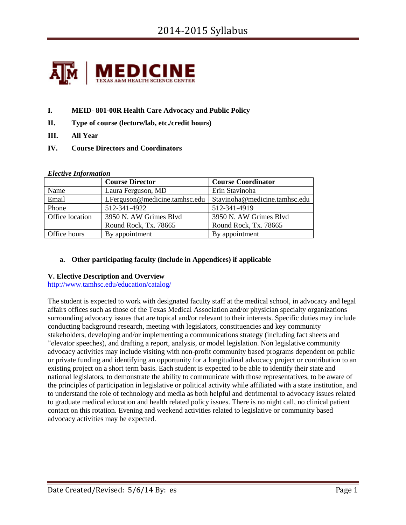

- **I. MEID- 801-00R Health Care Advocacy and Public Policy**
- **II. Type of course (lecture/lab, etc./credit hours)**
- **III. All Year**
- **IV. Course Directors and Coordinators**

#### *Elective Information*

|                     | <b>Course Director</b>        | <b>Course Coordinator</b>     |  |
|---------------------|-------------------------------|-------------------------------|--|
| Name                | Laura Ferguson, MD            | Erin Stavinoha                |  |
| Email               | LFerguson@medicine.tamhsc.edu | Stavinoha@medicine.tamhsc.edu |  |
| Phone               | 512-341-4922                  | 512-341-4919                  |  |
| Office location     | 3950 N. AW Grimes Blvd        | 3950 N. AW Grimes Blvd        |  |
|                     | Round Rock, Tx. 78665         | Round Rock, Tx. 78665         |  |
| <b>Office hours</b> | By appointment                | By appointment                |  |

#### **a. Other participating faculty (include in Appendices) if applicable**

#### **V. Elective Description and Overview**

<http://www.tamhsc.edu/education/catalog/>

The student is expected to work with designated faculty staff at the medical school, in advocacy and legal affairs offices such as those of the Texas Medical Association and/or physician specialty organizations surrounding advocacy issues that are topical and/or relevant to their interests. Specific duties may include conducting background research, meeting with legislators, constituencies and key community stakeholders, developing and/or implementing a communications strategy (including fact sheets and "elevator speeches), and drafting a report, analysis, or model legislation. Non legislative community advocacy activities may include visiting with non-profit community based programs dependent on public or private funding and identifying an opportunity for a longitudinal advocacy project or contribution to an existing project on a short term basis. Each student is expected to be able to identify their state and national legislators, to demonstrate the ability to communicate with those representatives, to be aware of the principles of participation in legislative or political activity while affiliated with a state institution, and to understand the role of technology and media as both helpful and detrimental to advocacy issues related to graduate medical education and health related policy issues. There is no night call, no clinical patient contact on this rotation. Evening and weekend activities related to legislative or community based advocacy activities may be expected.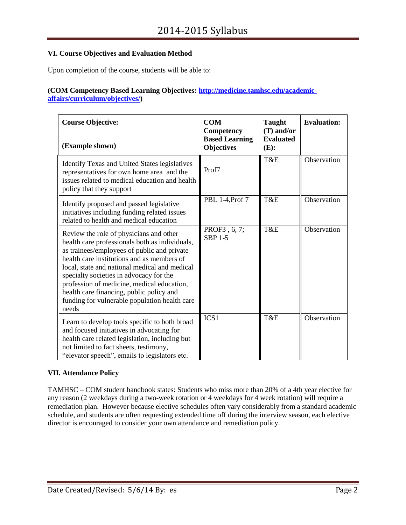## **VI. Course Objectives and Evaluation Method**

Upon completion of the course, students will be able to:

#### **(COM Competency Based Learning Objectives: [http://medicine.tamhsc.edu/academic](http://medicine.tamhsc.edu/academic-affairs/curriculum/objectives/)[affairs/curriculum/objectives/\)](http://medicine.tamhsc.edu/academic-affairs/curriculum/objectives/)**

| <b>Course Objective:</b><br>(Example shown)                                                                                                                                                                                                                                                                                                                                                                                            | <b>COM</b><br>Competency<br><b>Based Learning</b><br><b>Objectives</b> | <b>Taught</b><br>$(T)$ and/or<br><b>Evaluated</b><br>$(E)$ : | <b>Evaluation:</b> |
|----------------------------------------------------------------------------------------------------------------------------------------------------------------------------------------------------------------------------------------------------------------------------------------------------------------------------------------------------------------------------------------------------------------------------------------|------------------------------------------------------------------------|--------------------------------------------------------------|--------------------|
| Identify Texas and United States legislatives<br>representatives for own home area and the<br>issues related to medical education and health<br>policy that they support                                                                                                                                                                                                                                                               | Prof7                                                                  | T&E                                                          | Observation        |
| Identify proposed and passed legislative<br>initiatives including funding related issues<br>related to health and medical education                                                                                                                                                                                                                                                                                                    | PBL 1-4, Prof 7                                                        | T&E                                                          | Observation        |
| Review the role of physicians and other<br>health care professionals both as individuals,<br>as trainees/employees of public and private<br>health care institutions and as members of<br>local, state and national medical and medical<br>specialty societies in advocacy for the<br>profession of medicine, medical education,<br>health care financing, public policy and<br>funding for vulnerable population health care<br>needs | PROF3, 6, 7;<br><b>SBP 1-5</b>                                         | T&E                                                          | Observation        |
| Learn to develop tools specific to both broad<br>and focused initiatives in advocating for<br>health care related legislation, including but<br>not limited to fact sheets, testimony,<br>"elevator speech", emails to legislators etc.                                                                                                                                                                                                | ICS <sub>1</sub>                                                       | T&E                                                          | Observation        |

## **VII. Attendance Policy**

TAMHSC – COM student handbook states: Students who miss more than 20% of a 4th year elective for any reason (2 weekdays during a two-week rotation or 4 weekdays for 4 week rotation) will require a remediation plan. However because elective schedules often vary considerably from a standard academic schedule, and students are often requesting extended time off during the interview season, each elective director is encouraged to consider your own attendance and remediation policy.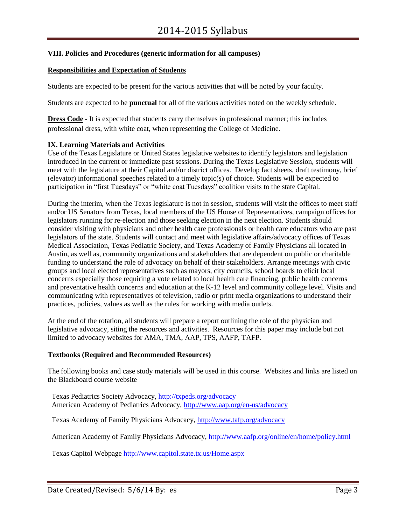## **VIII. Policies and Procedures (generic information for all campuses)**

#### **Responsibilities and Expectation of Students**

Students are expected to be present for the various activities that will be noted by your faculty.

Students are expected to be **punctual** for all of the various activities noted on the weekly schedule.

**Dress Code** - It is expected that students carry themselves in professional manner; this includes professional dress, with white coat, when representing the College of Medicine.

#### **IX. Learning Materials and Activities**

Use of the Texas Legislature or United States legislative websites to identify legislators and legislation introduced in the current or immediate past sessions. During the Texas Legislative Session, students will meet with the legislature at their Capitol and/or district offices. Develop fact sheets, draft testimony, brief (elevator) informational speeches related to a timely topic(s) of choice. Students will be expected to participation in "first Tuesdays" or "white coat Tuesdays" coalition visits to the state Capital.

During the interim, when the Texas legislature is not in session, students will visit the offices to meet staff and/or US Senators from Texas, local members of the US House of Representatives, campaign offices for legislators running for re-election and those seeking election in the next election. Students should consider visiting with physicians and other health care professionals or health care educators who are past legislators of the state. Students will contact and meet with legislative affairs/advocacy offices of Texas Medical Association, Texas Pediatric Society, and Texas Academy of Family Physicians all located in Austin, as well as, community organizations and stakeholders that are dependent on public or charitable funding to understand the role of advocacy on behalf of their stakeholders. Arrange meetings with civic groups and local elected representatives such as mayors, city councils, school boards to elicit local concerns especially those requiring a vote related to local health care financing, public health concerns and preventative health concerns and education at the K-12 level and community college level. Visits and communicating with representatives of television, radio or print media organizations to understand their practices, policies, values as well as the rules for working with media outlets.

At the end of the rotation, all students will prepare a report outlining the role of the physician and legislative advocacy, siting the resources and activities. Resources for this paper may include but not limited to advocacy websites for AMA, TMA, AAP, TPS, AAFP, TAFP.

#### **Textbooks (Required and Recommended Resources)**

The following books and case study materials will be used in this course. Websites and links are listed on the Blackboard course website

Texas Pediatrics Society Advocacy,<http://txpeds.org/advocacy> American Academy of Pediatrics Advocacy,<http://www.aap.org/en-us/advocacy>

Texas Academy of Family Physicians Advocacy,<http://www.tafp.org/advocacy>

American Academy of Family Physicians Advocacy[, http://www.aafp.org/online/en/home/policy.html](http://www.aafp.org/online/en/home/policy.html)

Texas Capitol Webpage<http://www.capitol.state.tx.us/Home.aspx>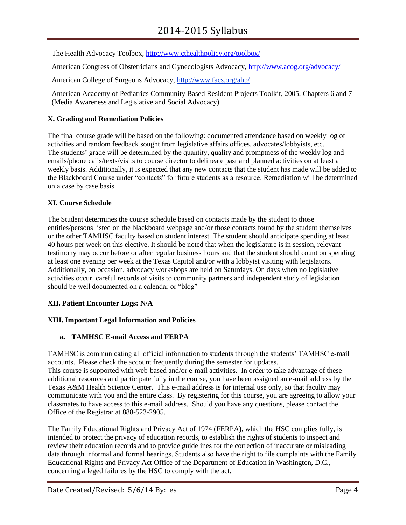The Health Advocacy Toolbox, [http://www.cthealthpolicy.org/toolbox/](http://www.cthealthpolicy.org/toolbox/tools/fact_sheets.htm)

American Congress of Obstetricians and Gynecologists Advocacy,<http://www.acog.org/advocacy/>

American College of Surgeons Advocacy, http://www.facs.org/ahp/

American Academy of Pediatrics Community Based Resident Projects Toolkit, 2005, Chapters 6 and 7 (Media Awareness and Legislative and Social Advocacy)

## **X. Grading and Remediation Policies**

The final course grade will be based on the following: documented attendance based on weekly log of activities and random feedback sought from legislative affairs offices, advocates/lobbyists, etc. The students' grade will be determined by the quantity, quality and promptness of the weekly log and emails/phone calls/texts/visits to course director to delineate past and planned activities on at least a weekly basis. Additionally, it is expected that any new contacts that the student has made will be added to the Blackboard Course under "contacts" for future students as a resource. Remediation will be determined on a case by case basis.

## **XI. Course Schedule**

The Student determines the course schedule based on contacts made by the student to those entities/persons listed on the blackboard webpage and/or those contacts found by the student themselves or the other TAMHSC faculty based on student interest. The student should anticipate spending at least 40 hours per week on this elective. It should be noted that when the legislature is in session, relevant testimony may occur before or after regular business hours and that the student should count on spending at least one evening per week at the Texas Capitol and/or with a lobbyist visiting with legislators. Additionally, on occasion, advocacy workshops are held on Saturdays. On days when no legislative activities occur, careful records of visits to community partners and independent study of legislation should be well documented on a calendar or "blog"

## **XII. Patient Encounter Logs: N/A**

## **XIII. Important Legal Information and Policies**

## **a. TAMHSC E-mail Access and FERPA**

TAMHSC is communicating all official information to students through the students' TAMHSC e-mail accounts. Please check the account frequently during the semester for updates. This course is supported with web-based and/or e-mail activities. In order to take advantage of these additional resources and participate fully in the course, you have been assigned an e-mail address by the Texas A&M Health Science Center. This e-mail address is for internal use only, so that faculty may communicate with you and the entire class. By registering for this course, you are agreeing to allow your classmates to have access to this e-mail address. Should you have any questions, please contact the Office of the Registrar at 888-523-2905.

The Family Educational Rights and Privacy Act of 1974 (FERPA), which the HSC complies fully, is intended to protect the privacy of education records, to establish the rights of students to inspect and review their education records and to provide guidelines for the correction of inaccurate or misleading data through informal and formal hearings. Students also have the right to file complaints with the Family Educational Rights and Privacy Act Office of the Department of Education in Washington, D.C., concerning alleged failures by the HSC to comply with the act.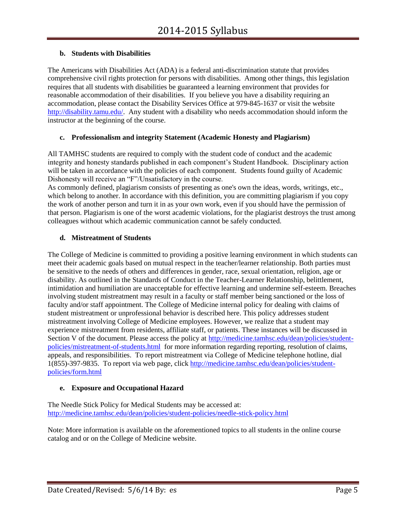## **b. Students with Disabilities**

The Americans with Disabilities Act (ADA) is a federal anti-discrimination statute that provides comprehensive civil rights protection for persons with disabilities. Among other things, this legislation requires that all students with disabilities be guaranteed a learning environment that provides for reasonable accommodation of their disabilities. If you believe you have a disability requiring an accommodation, please contact the Disability Services Office at 979-845-1637 or visit the website [http://disability.tamu.edu/.](http://disability.tamu.edu/) Any student with a disability who needs accommodation should inform the instructor at the beginning of the course.

#### **c. Professionalism and integrity Statement (Academic Honesty and Plagiarism)**

All TAMHSC students are required to comply with the student code of conduct and the academic integrity and honesty standards published in each component's Student Handbook. Disciplinary action will be taken in accordance with the policies of each component. Students found guilty of Academic Dishonesty will receive an "F"/Unsatisfactory in the course.

As commonly defined, plagiarism consists of presenting as one's own the ideas, words, writings, etc., which belong to another. In accordance with this definition, you are committing plagiarism if you copy the work of another person and turn it in as your own work, even if you should have the permission of that person. Plagiarism is one of the worst academic violations, for the plagiarist destroys the trust among colleagues without which academic communication cannot be safely conducted.

#### **d. Mistreatment of Students**

The College of Medicine is committed to providing a positive learning environment in which students can meet their academic goals based on mutual respect in the teacher/learner relationship. Both parties must be sensitive to the needs of others and differences in gender, race, sexual orientation, religion, age or disability. As outlined in the Standards of Conduct in the Teacher-Learner Relationship, belittlement, intimidation and humiliation are unacceptable for effective learning and undermine self-esteem. Breaches involving student mistreatment may result in a faculty or staff member being sanctioned or the loss of faculty and/or staff appointment. The College of Medicine internal policy for dealing with claims of student mistreatment or unprofessional behavior is described here. This policy addresses student mistreatment involving College of Medicine employees. However, we realize that a student may experience mistreatment from residents, affiliate staff, or patients. These instances will be discussed in Section V of the document. Please access the policy at [http://medicine.tamhsc.edu/dean/policies/student](http://medicine.tamhsc.edu/dean/policies/student-policies/mistreatment-of-students.html)[policies/mistreatment-of-students.html](http://medicine.tamhsc.edu/dean/policies/student-policies/mistreatment-of-students.html) for more information regarding reporting, resolution of claims, appeals, and responsibilities. To report mistreatment via College of Medicine telephone hotline, dial 1(855)-397-9835. To report via web page, click [http://medicine.tamhsc.edu/dean/policies/student](http://medicine.tamhsc.edu/dean/policies/student-policies/form.html)[policies/form.html](http://medicine.tamhsc.edu/dean/policies/student-policies/form.html)

#### **e. Exposure and Occupational Hazard**

The Needle Stick Policy for Medical Students may be accessed at: <http://medicine.tamhsc.edu/dean/policies/student-policies/needle-stick-policy.html>

Note: More information is available on the aforementioned topics to all students in the online course catalog and or on the College of Medicine website.